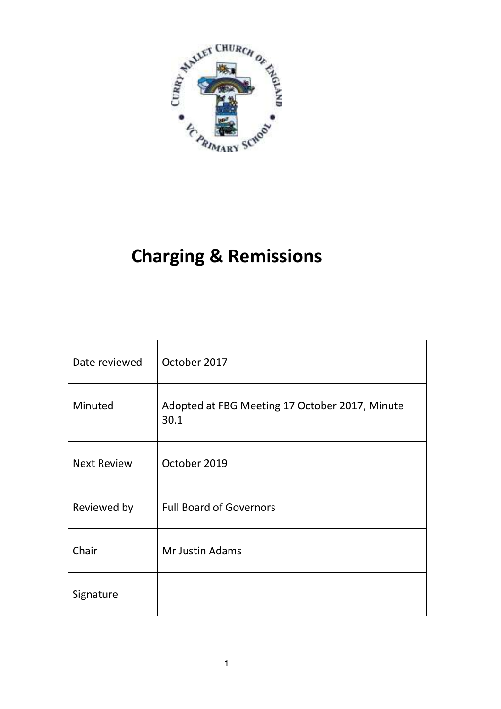

# **Charging & Remissions**

| Date reviewed      | October 2017                                           |
|--------------------|--------------------------------------------------------|
| Minuted            | Adopted at FBG Meeting 17 October 2017, Minute<br>30.1 |
| <b>Next Review</b> | October 2019                                           |
| Reviewed by        | <b>Full Board of Governors</b>                         |
| Chair              | Mr Justin Adams                                        |
| Signature          |                                                        |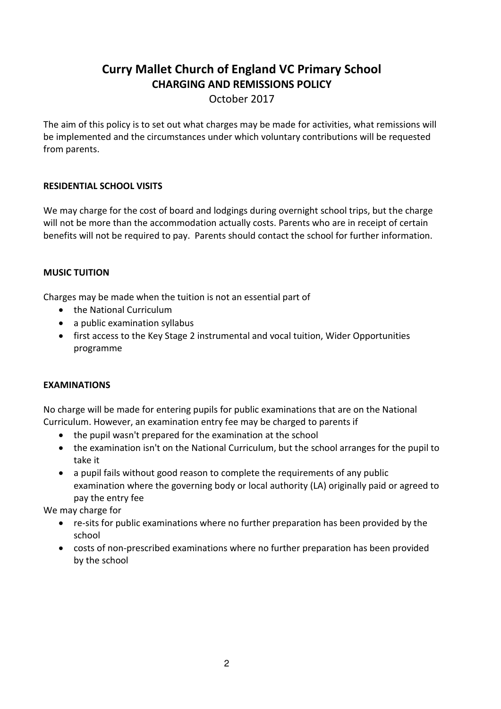## **Curry Mallet Church of England VC Primary School CHARGING AND REMISSIONS POLICY**

October 2017

The aim of this policy is to set out what charges may be made for activities, what remissions will be implemented and the circumstances under which voluntary contributions will be requested from parents.

### **RESIDENTIAL SCHOOL VISITS**

We may charge for the cost of board and lodgings during overnight school trips, but the charge will not be more than the accommodation actually costs. Parents who are in receipt of certain benefits will not be required to pay. Parents should contact the school for further information.

### **MUSIC TUITION**

Charges may be made when the tuition is not an essential part of

- the National Curriculum
- a public examination syllabus
- first access to the Key Stage 2 instrumental and vocal tuition, Wider Opportunities programme

### **EXAMINATIONS**

No charge will be made for entering pupils for public examinations that are on the National Curriculum. However, an examination entry fee may be charged to parents if

- the pupil wasn't prepared for the examination at the school
- the examination isn't on the National Curriculum, but the school arranges for the pupil to take it
- a pupil fails without good reason to complete the requirements of any public examination where the governing body or local authority (LA) originally paid or agreed to pay the entry fee

We may charge for

- re-sits for public examinations where no further preparation has been provided by the school
- costs of non-prescribed examinations where no further preparation has been provided by the school